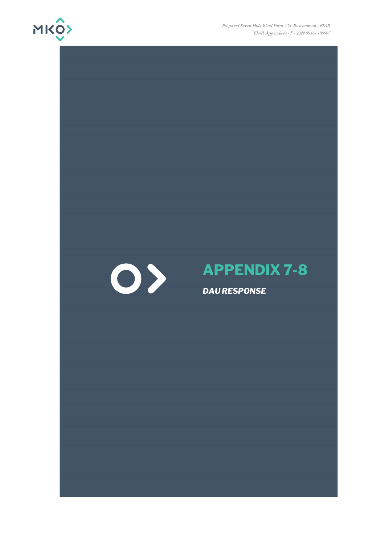

Proposed Seven Hills Wind Farm, Co. Roscommon - EIAR EIAR Appendices - F - 2022.06.03- 190907



# **APPENDIX 7-8**

*DAU RESPONSE*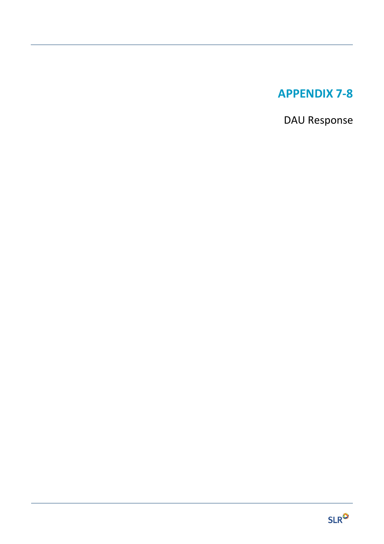# **APPENDIX 7-8**

DAU Response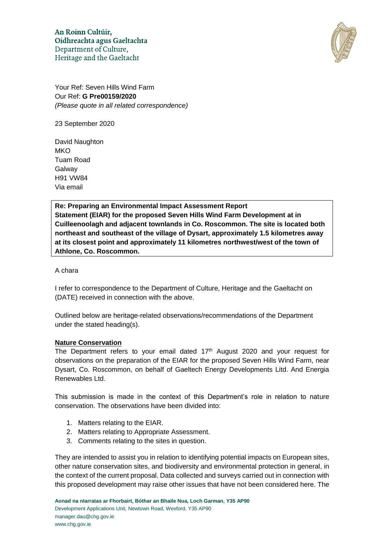An Roinn Cultúir, Oidhreachta agus Gaeltachta Department of Culture, Heritage and the Gaeltacht



Your Ref: Seven Hills Wind Farm Our Ref: **G Pre00159/2020** *(Please quote in all related correspondence)* 

23 September 2020

David Naughton **MKO** Tuam Road **Galway** H91 VW84 Via email

**Re: Preparing an Environmental Impact Assessment Report Statement (EIAR) for the proposed Seven Hills Wind Farm Development at in Cuilleenoolagh and adjacent townlands in Co. Roscommon. The site is located both northeast and southeast of the village of Dysart, approximately 1.5 kilometres away at its closest point and approximately 11 kilometres northwest/west of the town of Athlone, Co. Roscommon.** 

A chara

I refer to correspondence to the Department of Culture, Heritage and the Gaeltacht on (DATE) received in connection with the above.

Outlined below are heritage-related observations/recommendations of the Department under the stated heading(s).

# **Nature Conservation**

The Department refers to your email dated  $17<sup>th</sup>$  August 2020 and your request for observations on the preparation of the EIAR for the proposed Seven Hills Wind Farm, near Dysart, Co. Roscommon, on behalf of Gaeltech Energy Developments Litd. And Energia Renewables Ltd.

This submission is made in the context of this Department's role in relation to nature conservation. The observations have been divided into:

- 1. Matters relating to the EIAR.
- 2. Matters relating to Appropriate Assessment.
- 3. Comments relating to the sites in question.

They are intended to assist you in relation to identifying potential impacts on European sites, other nature conservation sites, and biodiversity and environmental protection in general, in the context of the current proposal. Data collected and surveys carried out in connection with this proposed development may raise other issues that have not been considered here. The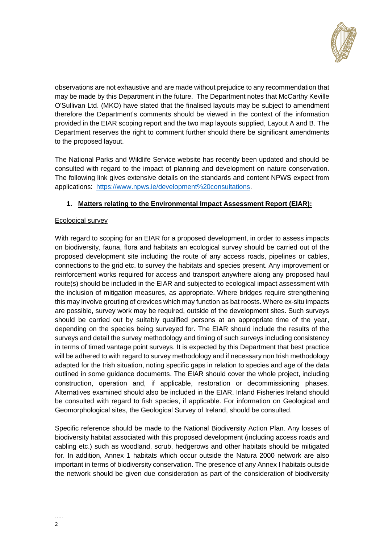

observations are not exhaustive and are made without prejudice to any recommendation that may be made by this Department in the future. The Department notes that McCarthy Keville O'Sullivan Ltd. (MKO) have stated that the finalised layouts may be subject to amendment therefore the Department's comments should be viewed in the context of the information provided in the EIAR scoping report and the two map layouts supplied, Layout A and B. The Department reserves the right to comment further should there be significant amendments to the proposed layout.

The National Parks and Wildlife Service website has recently been updated and should be consulted with regard to the impact of planning and development on nature conservation. The following link gives extensive details on the standards and content NPWS expect from applications: [https://www.npws.ie/development%20consultations.](https://www.npws.ie/development%20consultations)

# **1. Matters relating to the Environmental Impact Assessment Report (EIAR):**

# **Ecological survey**

With regard to scoping for an EIAR for a proposed development, in order to assess impacts on biodiversity, fauna, flora and habitats an ecological survey should be carried out of the proposed development site including the route of any access roads, pipelines or cables, connections to the grid etc. to survey the habitats and species present. Any improvement or reinforcement works required for access and transport anywhere along any proposed haul route(s) should be included in the EIAR and subjected to ecological impact assessment with the inclusion of mitigation measures, as appropriate. Where bridges require strengthening this may involve grouting of crevices which may function as bat roosts. Where ex-situ impacts are possible, survey work may be required, outside of the development sites. Such surveys should be carried out by suitably qualified persons at an appropriate time of the year, depending on the species being surveyed for. The EIAR should include the results of the surveys and detail the survey methodology and timing of such surveys including consistency in terms of timed vantage point surveys. It is expected by this Department that best practice will be adhered to with regard to survey methodology and if necessary non Irish methodology adapted for the Irish situation, noting specific gaps in relation to species and age of the data outlined in some guidance documents. The EIAR should cover the whole project, including construction, operation and, if applicable, restoration or decommissioning phases. Alternatives examined should also be included in the EIAR. Inland Fisheries Ireland should be consulted with regard to fish species, if applicable. For information on Geological and Geomorphological sites, the Geological Survey of Ireland, should be consulted.

Specific reference should be made to the National Biodiversity Action Plan. Any losses of biodiversity habitat associated with this proposed development (including access roads and cabling etc.) such as woodland, scrub, hedgerows and other habitats should be mitigated for. In addition, Annex 1 habitats which occur outside the Natura 2000 network are also important in terms of biodiversity conservation. The presence of any Annex I habitats outside the network should be given due consideration as part of the consideration of biodiversity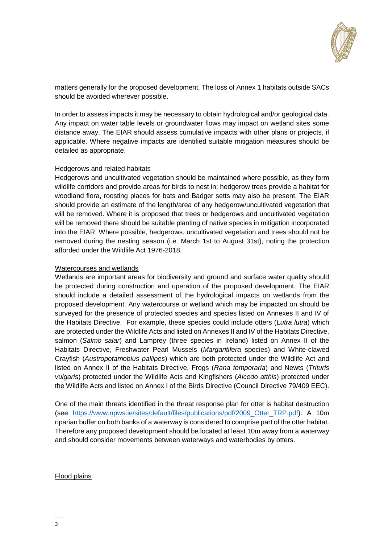

matters generally for the proposed development. The loss of Annex 1 habitats outside SACs should be avoided wherever possible.

In order to assess impacts it may be necessary to obtain hydrological and/or geological data. Any impact on water table levels or groundwater flows may impact on wetland sites some distance away. The EIAR should assess cumulative impacts with other plans or projects, if applicable. Where negative impacts are identified suitable mitigation measures should be detailed as appropriate.

#### Hedgerows and related habitats

Hedgerows and uncultivated vegetation should be maintained where possible, as they form wildlife corridors and provide areas for birds to nest in; hedgerow trees provide a habitat for woodland flora, roosting places for bats and Badger setts may also be present. The EIAR should provide an estimate of the length/area of any hedgerow/uncultivated vegetation that will be removed. Where it is proposed that trees or hedgerows and uncultivated vegetation will be removed there should be suitable planting of native species in mitigation incorporated into the EIAR. Where possible, hedgerows, uncultivated vegetation and trees should not be removed during the nesting season (i.e. March 1st to August 31st), noting the protection afforded under the Wildlife Act 1976-2018.

#### Watercourses and wetlands

Wetlands are important areas for biodiversity and ground and surface water quality should be protected during construction and operation of the proposed development. The EIAR should include a detailed assessment of the hydrological impacts on wetlands from the proposed development. Any watercourse or wetland which may be impacted on should be surveyed for the presence of protected species and species listed on Annexes II and IV of the Habitats Directive. For example, these species could include otters (*Lutra lutra*) which are protected under the Wildlife Acts and listed on Annexes II and IV of the Habitats Directive, salmon (*Salmo salar*) and Lamprey (three species in Ireland) listed on Annex II of the Habitats Directive, Freshwater Pearl Mussels (*Margaritifera* species) and White-clawed Crayfish (*Austropotamobius pallipes*) which are both protected under the Wildlife Act and listed on Annex II of the Habitats Directive, Frogs (*Rana temporaria*) and Newts (*Trituris vulgaris*) protected under the Wildlife Acts and Kingfishers (*Alcedo atthis*) protected under the Wildlife Acts and listed on Annex I of the Birds Directive (Council Directive 79/409 EEC).

One of the main threats identified in the threat response plan for otter is habitat destruction (see https://www.npws.ie/sites/default/files/publications/pdf/2009 Otter TRP.pdf). A 10m riparian buffer on both banks of a waterway is considered to comprise part of the otter habitat. Therefore any proposed development should be located at least 10m away from a waterway and should consider movements between waterways and waterbodies by otters.

#### Flood plains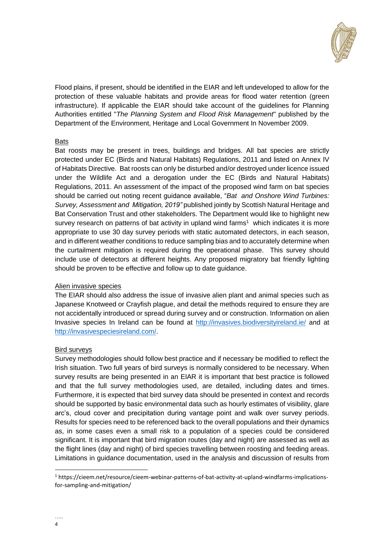

Flood plains, if present, should be identified in the EIAR and left undeveloped to allow for the protection of these valuable habitats and provide areas for flood water retention (green infrastructure). If applicable the EIAR should take account of the guidelines for Planning Authorities entitled "*The Planning System and Flood Risk Management*" published by the Department of the Environment, Heritage and Local Government In November 2009.

#### **Bats**

Bat roosts may be present in trees, buildings and bridges. All bat species are strictly protected under EC (Birds and Natural Habitats) Regulations, 2011 and listed on Annex IV of Habitats Directive. Bat roosts can only be disturbed and/or destroyed under licence issued under the Wildlife Act and a derogation under the EC (Birds and Natural Habitats) Regulations, 2011. An assessment of the impact of the proposed wind farm on bat species should be carried out noting recent guidance available, "*Bat and Onshore Wind Turbines: Survey, Assessment and Mitigation, 2019"* published jointly by Scottish Natural Heritage and Bat Conservation Trust and other stakeholders. The Department would like to highlight new survey research on patterns of bat activity in upland wind farms<sup>1</sup> which indicates it is more appropriate to use 30 day survey periods with static automated detectors, in each season, and in different weather conditions to reduce sampling bias and to accurately determine when the curtailment mitigation is required during the operational phase. This survey should include use of detectors at different heights. Any proposed migratory bat friendly lighting should be proven to be effective and follow up to date guidance.

#### Alien invasive species

The EIAR should also address the issue of invasive alien plant and animal species such as Japanese Knotweed or Crayfish plague, and detail the methods required to ensure they are not accidentally introduced or spread during survey and or construction. Information on alien Invasive species In Ireland can be found at<http://invasives.biodiversityireland.ie/> and at [http://invasivespeciesireland.com/.](http://invasivespeciesireland.com/)

# Bird surveys

Survey methodologies should follow best practice and if necessary be modified to reflect the Irish situation. Two full years of bird surveys is normally considered to be necessary. When survey results are being presented in an EIAR it is important that best practice is followed and that the full survey methodologies used, are detailed, including dates and times. Furthermore, it is expected that bird survey data should be presented in context and records should be supported by basic environmental data such as hourly estimates of visibility, glare arc's, cloud cover and precipitation during vantage point and walk over survey periods. Results for species need to be referenced back to the overall populations and their dynamics as, in some cases even a small risk to a population of a species could be considered significant. It is important that bird migration routes (day and night) are assessed as well as the flight lines (day and night) of bird species travelling between roosting and feeding areas. Limitations in guidance documentation, used in the analysis and discussion of results from

1

<sup>1</sup> https://cieem.net/resource/cieem-webinar-patterns-of-bat-activity-at-upland-windfarms-implicationsfor-sampling-and-mitigation/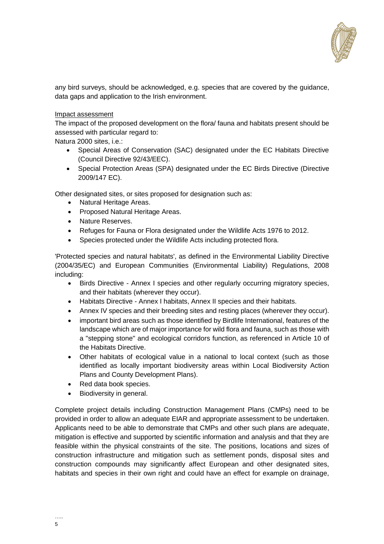

any bird surveys, should be acknowledged, e.g. species that are covered by the guidance, data gaps and application to the Irish environment.

#### Impact assessment

The impact of the proposed development on the flora/ fauna and habitats present should be assessed with particular regard to:

Natura 2000 sites, i.e.:

- Special Areas of Conservation (SAC) designated under the EC Habitats Directive (Council Directive 92/43/EEC).
- Special Protection Areas (SPA) designated under the EC Birds Directive (Directive 2009/147 EC).

Other designated sites, or sites proposed for designation such as:

- Natural Heritage Areas.
- Proposed Natural Heritage Areas.
- Nature Reserves.
- Refuges for Fauna or Flora designated under the Wildlife Acts 1976 to 2012.
- Species protected under the Wildlife Acts including protected flora.

'Protected species and natural habitats', as defined in the Environmental Liability Directive (2004/35/EC) and European Communities (Environmental Liability) Regulations, 2008 including:

- Birds Directive Annex I species and other regularly occurring migratory species, and their habitats (wherever they occur).
- Habitats Directive Annex I habitats, Annex II species and their habitats.
- Annex IV species and their breeding sites and resting places (wherever they occur).
- important bird areas such as those identified by Birdlife International, features of the landscape which are of major importance for wild flora and fauna, such as those with a "stepping stone" and ecological corridors function, as referenced in Article 10 of the Habitats Directive.
- Other habitats of ecological value in a national to local context (such as those identified as locally important biodiversity areas within Local Biodiversity Action Plans and County Development Plans).
- Red data book species.
- Biodiversity in general.

Complete project details including Construction Management Plans (CMPs) need to be provided in order to allow an adequate EIAR and appropriate assessment to be undertaken. Applicants need to be able to demonstrate that CMPs and other such plans are adequate, mitigation is effective and supported by scientific information and analysis and that they are feasible within the physical constraints of the site. The positions, locations and sizes of construction infrastructure and mitigation such as settlement ponds, disposal sites and construction compounds may significantly affect European and other designated sites, habitats and species in their own right and could have an effect for example on drainage,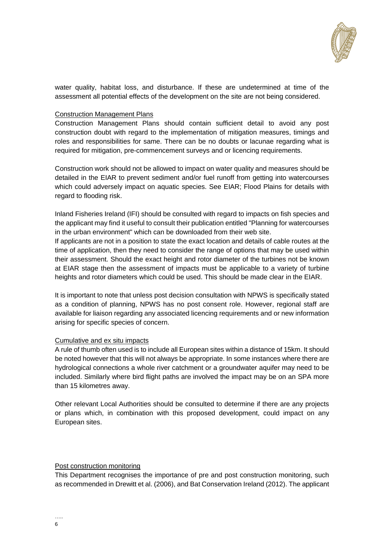

water quality, habitat loss, and disturbance. If these are undetermined at time of the assessment all potential effects of the development on the site are not being considered.

#### Construction Management Plans

Construction Management Plans should contain sufficient detail to avoid any post construction doubt with regard to the implementation of mitigation measures, timings and roles and responsibilities for same. There can be no doubts or lacunae regarding what is required for mitigation, pre-commencement surveys and or licencing requirements.

Construction work should not be allowed to impact on water quality and measures should be detailed in the EIAR to prevent sediment and/or fuel runoff from getting into watercourses which could adversely impact on aquatic species. See EIAR; Flood Plains for details with regard to flooding risk.

Inland Fisheries Ireland (IFI) should be consulted with regard to impacts on fish species and the applicant may find it useful to consult their publication entitled "Planning for watercourses in the urban environment" which can be downloaded from their web site.

If applicants are not in a position to state the exact location and details of cable routes at the time of application, then they need to consider the range of options that may be used within their assessment. Should the exact height and rotor diameter of the turbines not be known at EIAR stage then the assessment of impacts must be applicable to a variety of turbine heights and rotor diameters which could be used. This should be made clear in the EIAR.

It is important to note that unless post decision consultation with NPWS is specifically stated as a condition of planning, NPWS has no post consent role. However, regional staff are available for liaison regarding any associated licencing requirements and or new information arising for specific species of concern.

# Cumulative and ex situ impacts

A rule of thumb often used is to include all European sites within a distance of 15km. It should be noted however that this will not always be appropriate. In some instances where there are hydrological connections a whole river catchment or a groundwater aquifer may need to be included. Similarly where bird flight paths are involved the impact may be on an SPA more than 15 kilometres away.

Other relevant Local Authorities should be consulted to determine if there are any projects or plans which, in combination with this proposed development, could impact on any European sites.

#### Post construction monitoring

This Department recognises the importance of pre and post construction monitoring, such as recommended in Drewitt et al. (2006), and Bat Conservation Ireland (2012). The applicant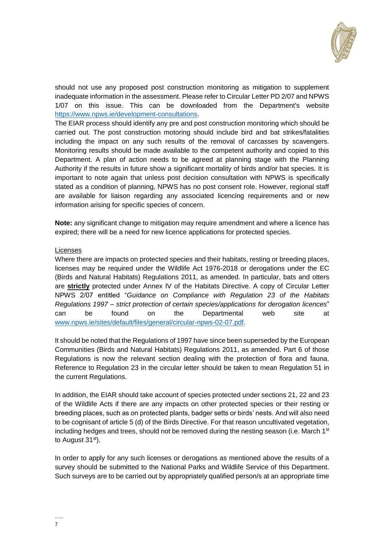

should not use any proposed post construction monitoring as mitigation to supplement inadequate information in the assessment. Please refer to Circular Letter PD 2/07 and NPWS 1/07 on this issue. This can be downloaded from the Department's website [https://www.npws.ie/development-consultations.](https://www.npws.ie/development-consultations)

The EIAR process should identify any pre and post construction monitoring which should be carried out. The post construction motoring should include bird and bat strikes/fatalities including the impact on any such results of the removal of carcasses by scavengers. Monitoring results should be made available to the competent authority and copied to this Department. A plan of action needs to be agreed at planning stage with the Planning Authority if the results in future show a significant mortality of birds and/or bat species. It is important to note again that unless post decision consultation with NPWS is specifically stated as a condition of planning, NPWS has no post consent role. However, regional staff are available for liaison regarding any associated licencing requirements and or new information arising for specific species of concern.

**Note:** any significant change to mitigation may require amendment and where a licence has expired; there will be a need for new licence applications for protected species.

#### Licenses

Where there are impacts on protected species and their habitats, resting or breeding places, licenses may be required under the Wildlife Act 1976-2018 or derogations under the EC (Birds and Natural Habitats) Regulations 2011, as amended. In particular, bats and otters are **strictly** protected under Annex IV of the Habitats Directive. A copy of Circular Letter NPWS 2/07 entitled "*Guidance on Compliance with Regulation 23 of the Habitats Regulations 1997 – strict protection of certain species/applications for derogation licences*" can be found on the Departmental web site at [www.npws.ie/sites/default/files/general/circular-npws-02-07.pdf.](https://www.envex.ie/owa/redir.aspx?C=32pzUJo2m9_C7LoD7bvlsTRX0SdgigDg8L4t4w-r3meb-pHZUQ_WCA..&URL=http%3a%2f%2fwww.npws.ie%2fsites%2fdefault%2ffiles%2fgeneral%2fcircular-npws-02-07.pdf)

It should be noted that the Regulations of 1997 have since been superseded by the European Communities (Birds and Natural Habitats) Regulations 2011, as amended. Part 6 of those Regulations is now the relevant section dealing with the protection of flora and fauna. Reference to Regulation 23 in the circular letter should be taken to mean Regulation 51 in the current Regulations.

In addition, the EIAR should take account of species protected under sections 21, 22 and 23 of the Wildlife Acts if there are any impacts on other protected species or their resting or breeding places, such as on protected plants, badger setts or birds' nests. And will also need to be cognisant of article 5 (d) of the Birds Directive. For that reason uncultivated vegetation, including hedges and trees, should not be removed during the nesting season (i.e. March  $1<sup>st</sup>$ to August 31<sup>st</sup>).

In order to apply for any such licenses or derogations as mentioned above the results of a survey should be submitted to the National Parks and Wildlife Service of this Department. Such surveys are to be carried out by appropriately qualified person/s at an appropriate time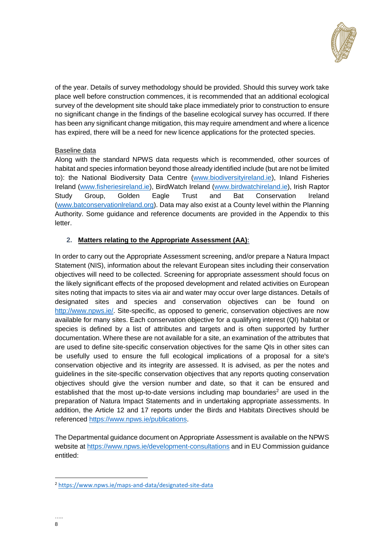

of the year. Details of survey methodology should be provided. Should this survey work take place well before construction commences, it is recommended that an additional ecological survey of the development site should take place immediately prior to construction to ensure no significant change in the findings of the baseline ecological survey has occurred. If there has been any significant change mitigation, this may require amendment and where a licence has expired, there will be a need for new licence applications for the protected species.

# Baseline data

Along with the standard NPWS data requests which is recommended, other sources of habitat and species information beyond those already identified include (but are not be limited to): the National Biodiversity Data Centre [\(www.biodiversityireland.ie\)](http://www.biodiversityireland.ie/), Inland Fisheries Ireland [\(www.fisheriesireland.ie\)](http://www.fisheriesireland.ie/), BirdWatch Ireland [\(www.birdwatchireland.ie\)](http://www.birdwatchireland.ie/), Irish Raptor Study Group, Golden Eagle Trust and Bat Conservation Ireland [\(www.batconservationlreland.org\)](http://www.batconservationlreland.org/). Data may also exist at a County level within the Planning Authority. Some guidance and reference documents are provided in the Appendix to this letter.

# **2. Matters relating to the Appropriate Assessment (AA):**

In order to carry out the Appropriate Assessment screening, and/or prepare a Natura Impact Statement (NIS), information about the relevant European sites including their conservation objectives will need to be collected. Screening for appropriate assessment should focus on the likely significant effects of the proposed development and related activities on European sites noting that impacts to sites via air and water may occur over large distances. Details of designated sites and species and conservation objectives can be found on [http://www.npws.ie/.](http://www.npws.ie/) Site-specific, as opposed to generic, conservation objectives are now available for many sites. Each conservation objective for a qualifying interest (QI) habitat or species is defined by a list of attributes and targets and is often supported by further documentation. Where these are not available for a site, an examination of the attributes that are used to define site-specific conservation objectives for the same QIs in other sites can be usefully used to ensure the full ecological implications of a proposal for a site's conservation objective and its integrity are assessed. It is advised, as per the notes and guidelines in the site-specific conservation objectives that any reports quoting conservation objectives should give the version number and date, so that it can be ensured and established that the most up-to-date versions including map boundaries<sup>2</sup> are used in the preparation of Natura Impact Statements and in undertaking appropriate assessments. In addition, the Article 12 and 17 reports under the Birds and Habitats Directives should be referenced [https://www.npws.ie/publications.](https://www.npws.ie/publications)

The Departmental guidance document on Appropriate Assessment is available on the NPWS website at<https://www.npws.ie/development-consultations> and in EU Commission guidance entitled:

-

<sup>2</sup> <https://www.npws.ie/maps-and-data/designated-site-data>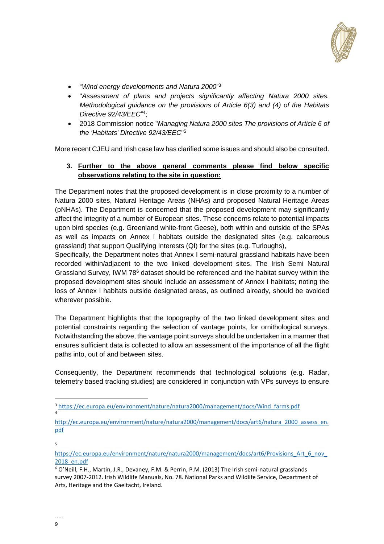

- "*Wind energy developments and Natura 2000*" 3
- "*Assessment of plans and projects significantly affecting Natura 2000 sites. Methodological guidance on the provisions of Article 6(3) and (4) of the Habitats Directive 92/43/EEC*" 4 ;
- 2018 Commission notice "*Managing Natura 2000 sites The provisions of Article 6 of the 'Habitats' Directive 92/43/EEC*" 5

More recent CJEU and Irish case law has clarified some issues and should also be consulted.

# **3. Further to the above general comments please find below specific observations relating to the site in question:**

The Department notes that the proposed development is in close proximity to a number of Natura 2000 sites, Natural Heritage Areas (NHAs) and proposed Natural Heritage Areas (pNHAs). The Department is concerned that the proposed development may significantly affect the integrity of a number of European sites. These concerns relate to potential impacts upon bird species (e.g. Greenland white-front Geese), both within and outside of the SPAs as well as impacts on Annex I habitats outside the designated sites (e.g. calcareous grassland) that support Qualifying Interests (QI) for the sites (e.g. Turloughs),

Specifically, the Department notes that Annex I semi-natural grassland habitats have been recorded within/adjacent to the two linked development sites. The Irish Semi Natural Grassland Survey, IWM 78<sup>6</sup> dataset should be referenced and the habitat survey within the proposed development sites should include an assessment of Annex I habitats; noting the loss of Annex I habitats outside designated areas, as outlined already, should be avoided wherever possible.

The Department highlights that the topography of the two linked development sites and potential constraints regarding the selection of vantage points, for ornithological surveys. Notwithstanding the above, the vantage point surveys should be undertaken in a manner that ensures sufficient data is collected to allow an assessment of the importance of all the flight paths into, out of and between sites.

Consequently, the Department recommends that technological solutions (e.g. Radar, telemetry based tracking studies) are considered in conjunction with VPs surveys to ensure

5

1

<sup>3</sup> [https://ec.europa.eu/environment/nature/natura2000/management/docs/Wind\\_farms.pdf](https://ec.europa.eu/environment/nature/natura2000/management/docs/Wind_farms.pdf) 4

[http://ec.europa.eu/environment/nature/natura2000/management/docs/art6/natura\\_2000\\_assess\\_en.](http://ec.europa.eu/environment/nature/natura2000/management/docs/art6/natura_2000_assess_en.pdf) [pdf](http://ec.europa.eu/environment/nature/natura2000/management/docs/art6/natura_2000_assess_en.pdf)

https://ec.europa.eu/environment/nature/natura2000/management/docs/art6/Provisions Art\_6\_nov [2018\\_en.pdf](https://ec.europa.eu/environment/nature/natura2000/management/docs/art6/Provisions_Art_6_nov_2018_en.pdf)

<sup>6</sup> O'Neill, F.H., Martin, J.R., Devaney, F.M. & Perrin, P.M. (2013) The Irish semi-natural grasslands survey 2007-2012. Irish Wildlife Manuals, No. 78. National Parks and Wildlife Service, Department of Arts, Heritage and the Gaeltacht, Ireland.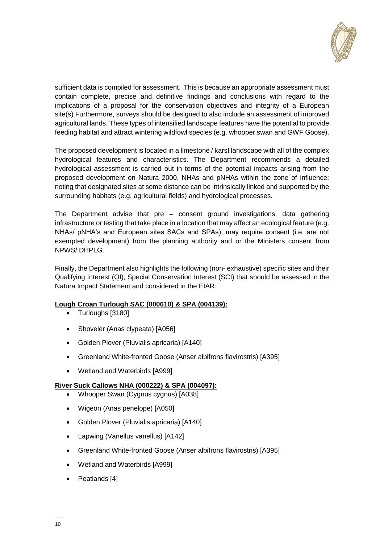

sufficient data is compiled for assessment. This is because an appropriate assessment must contain complete, precise and definitive findings and conclusions with regard to the implications of a proposal for the conservation objectives and integrity of a European site(s).Furthermore, surveys should be designed to also include an assessment of improved agricultural lands. These types of intensified landscape features have the potential to provide feeding habitat and attract wintering wildfowl species (e.g. whooper swan and GWF Goose).

The proposed development is located in a limestone / karst landscape with all of the complex hydrological features and characteristics. The Department recommends a detailed hydrological assessment is carried out in terms of the potential impacts arising from the proposed development on Natura 2000, NHAs and pNHAs within the zone of influence; noting that designated sites at some distance can be intrinsically linked and supported by the surrounding habitats (e.g. agricultural fields) and hydrological processes.

The Department advise that pre – consent ground investigations, data gathering infrastructure or testing that take place in a location that may affect an ecological feature (e.g. NHAs/ pNHA's and European sites SACs and SPAs), may require consent (i.e. are not exempted development) from the planning authority and or the Ministers consent from NPWS/ DHPLG.

Finally, the Department also highlights the following (non- exhaustive) specific sites and their Qualifying Interest (QI); Special Conservation Interest (SCI) that should be assessed in the Natura Impact Statement and considered in the EIAR:

# **Lough Croan Turlough SAC (000610) & SPA (004139):**

- Turloughs [3180]
- Shoveler (Anas clypeata) [A056]
- Golden Plover (Pluvialis apricaria) [A140]
- Greenland White-fronted Goose (Anser albifrons flavirostris) [A395]
- Wetland and Waterbirds [A999]

# **River Suck Callows NHA (000222) & SPA (004097):**

- Whooper Swan (Cygnus cygnus) [A038]
- Wigeon (Anas penelope) [A050]
- Golden Plover (Pluvialis apricaria) [A140]
- Lapwing (Vanellus vanellus) [A142]
- Greenland White-fronted Goose (Anser albifrons flavirostris) [A395]
- Wetland and Waterbirds [A999]
- Peatlands [4]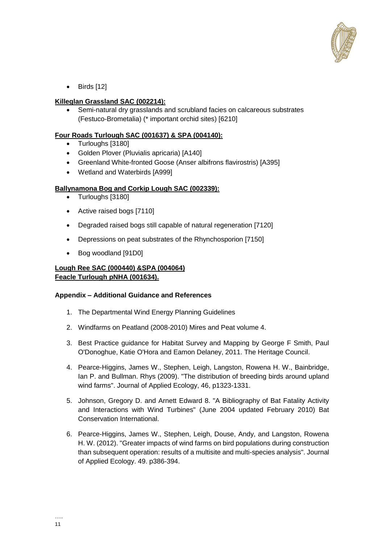

 $\bullet$  Birds [12]

# **Killeglan Grassland SAC (002214):**

 Semi-natural dry grasslands and scrubland facies on calcareous substrates (Festuco-Brometalia) (\* important orchid sites) [6210]

# **Four Roads Turlough SAC (001637) & SPA (004140):**

- Turloughs [3180]
- Golden Plover (Pluvialis apricaria) [A140]
- Greenland White-fronted Goose (Anser albifrons flavirostris) [A395]
- Wetland and Waterbirds [A999]

# **Ballynamona Bog and Corkip Lough SAC (002339):**

- Turloughs [3180]
- Active raised bogs [7110]
- Degraded raised bogs still capable of natural regeneration [7120]
- Depressions on peat substrates of the Rhynchosporion [7150]
- Bog woodland [91D0]

# **Lough Ree SAC (000440) &SPA (004064) Feacle Turlough pNHA (001634).**

# **Appendix – Additional Guidance and References**

- 1. The Departmental Wind Energy Planning Guidelines
- 2. Windfarms on Peatland (2008-2010) Mires and Peat volume 4.
- 3. Best Practice guidance for Habitat Survey and Mapping by George F Smith, Paul O'Donoghue, Katie O'Hora and Eamon Delaney, 2011. The Heritage Council.
- 4. Pearce-Higgins, James W., Stephen, Leigh, Langston, Rowena H. W., Bainbridge, Ian P. and Bullman. Rhys (2009). "The distribution of breeding birds around upland wind farms". Journal of Applied Ecology, 46, p1323-1331.
- 5. Johnson, Gregory D. and Arnett Edward 8. "A Bibliography of Bat Fatality Activity and Interactions with Wind Turbines" (June 2004 updated February 2010) Bat Conservation International.
- 6. Pearce-Higgins, James W., Stephen, Leigh, Douse, Andy, and Langston, Rowena H. W. (2012). "Greater impacts of wind farms on bird populations during construction than subsequent operation: results of a multisite and multi-species analysis". Journal of Applied Ecology. 49. p386-394.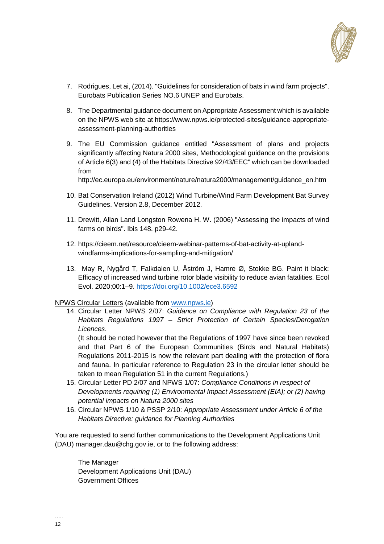

- 7. Rodrigues, Let ai, (2014). "Guidelines for consideration of bats in wind farm projects". Eurobats Publication Series NO.6 UNEP and Eurobats.
- 8. The Departmental guidance document on Appropriate Assessment which is available on the NPWS web site at https://www.npws.ie/protected-sites/guidance-appropriateassessment-planning-authorities
- 9. The EU Commission guidance entitled "Assessment of plans and projects significantly affecting Natura 2000 sites, Methodological guidance on the provisions of Article 6(3) and (4) of the Habitats Directive 92/43/EEC" which can be downloaded from

http://ec.europa.eu/environment/nature/natura2000/management/guidance\_en.htm

- 10. Bat Conservation Ireland (2012) Wind Turbine/Wind Farm Development Bat Survey Guidelines. Version 2.8, December 2012.
- 11. Drewitt, Allan Land Longston Rowena H. W. (2006) "Assessing the impacts of wind farms on birds". Ibis 148. p29-42.
- 12. https://cieem.net/resource/cieem-webinar-patterns-of-bat-activity-at-uplandwindfarms-implications-for-sampling-and-mitigation/
- 13. May R, Nygård T, Falkdalen U, Åström J, Hamre Ø, Stokke BG. Paint it black: Efficacy of increased wind turbine rotor blade visibility to reduce avian fatalities. Ecol Evol. 2020;00:1–9.<https://doi.org/10.1002/ece3.6592>

#### NPWS Circular Letters (available from [www.npws.ie\)](http://www.npws.ie/)

14. Circular Letter NPWS 2/07: *Guidance on Compliance with Regulation 23 of the Habitats Regulations 1997 – Strict Protection of Certain Species/Derogation Licences*.

(It should be noted however that the Regulations of 1997 have since been revoked and that Part 6 of the European Communities (Birds and Natural Habitats) Regulations 2011-2015 is now the relevant part dealing with the protection of flora and fauna. In particular reference to Regulation 23 in the circular letter should be taken to mean Regulation 51 in the current Regulations.)

- 15. Circular Letter PD 2/07 and NPWS 1/07: *Compliance Conditions in respect of Developments requiring (1) Environmental Impact Assessment (EIA); or (2) having potential impacts on Natura 2000 sites*
- 16. Circular NPWS 1/10 & PSSP 2/10: *Appropriate Assessment under Article 6 of the Habitats Directive: guidance for Planning Authorities*

You are requested to send further communications to the Development Applications Unit (DAU) manager.dau@chg.gov.ie, or to the following address:

The Manager Development Applications Unit (DAU) Government Offices